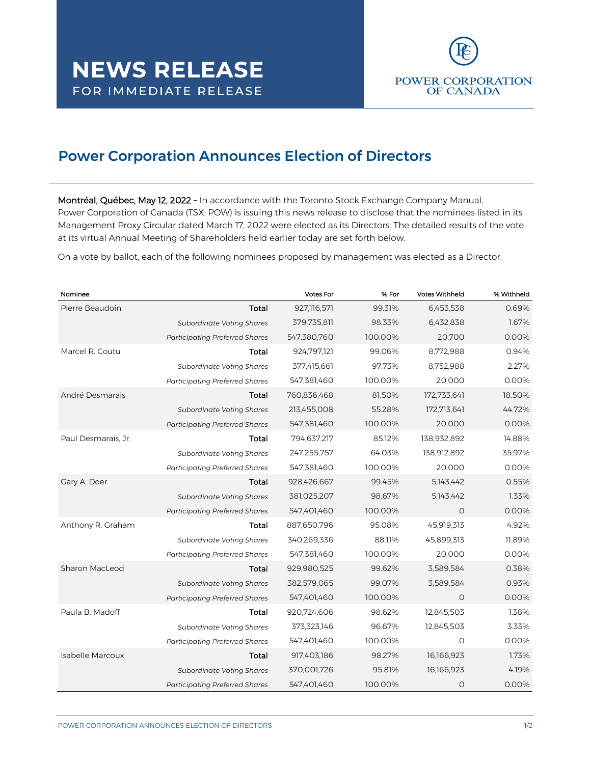

## Power Corporation Announces Election of Directors

Montréal, Québec, May 12, 2022 – In accordance with the Toronto Stock Exchange Company Manual, Power Corporation of Canada (TSX: POW) is issuing this news release to disclose that the nominees listed in its Management Proxy Circular dated March 17, 2022 were elected as its Directors. The detailed results of the vote at its virtual Annual Meeting of Shareholders held earlier today are set forth below.

On a vote by ballot, each of the following nominees proposed by management was elected as a Director:

| Nominee                 |                                       | <b>Votes For</b> | % For   | <b>Votes Withheld</b> | % Withheld |
|-------------------------|---------------------------------------|------------------|---------|-----------------------|------------|
| Pierre Beaudoin         | Total                                 | 927,116,571      | 99.31%  | 6,453,538             | 0.69%      |
|                         | <b>Subordinate Voting Shares</b>      | 379,735,811      | 98.33%  | 6,432,838             | 1.67%      |
|                         | <b>Participating Preferred Shares</b> | 547,380,760      | 100.00% | 20,700                | 0.00%      |
| Marcel R. Coutu         | Total                                 | 924,797,121      | 99.06%  | 8,772,988             | 0.94%      |
|                         | <b>Subordinate Voting Shares</b>      | 377,415,661      | 97.73%  | 8,752,988             | 2.27%      |
|                         | <b>Participating Preferred Shares</b> | 547,381,460      | 100.00% | 20,000                | 0.00%      |
| André Desmarais         | Total                                 | 760,836,468      | 81.50%  | 172,733,641           | 18.50%     |
|                         | <b>Subordinate Voting Shares</b>      | 213,455,008      | 55.28%  | 172,713,641           | 44.72%     |
|                         | <b>Participating Preferred Shares</b> | 547,381,460      | 100.00% | 20,000                | 0.00%      |
| Paul Desmarais, Jr.     | Total                                 | 794,637,217      | 85.12%  | 138,932,892           | 14.88%     |
|                         | <b>Subordinate Voting Shares</b>      | 247,255,757      | 64.03%  | 138,912,892           | 35.97%     |
|                         | <b>Participating Preferred Shares</b> | 547,381,460      | 100.00% | 20,000                | 0.00%      |
| Gary A. Doer            | Total                                 | 928,426,667      | 99.45%  | 5,143,442             | 0.55%      |
|                         | <b>Subordinate Voting Shares</b>      | 381,025,207      | 98.67%  | 5, 143, 442           | 1.33%      |
|                         | <b>Participating Preferred Shares</b> | 547,401,460      | 100.00% | $\Omega$              | 0.00%      |
| Anthony R. Graham       | Total                                 | 887,650,796      | 95.08%  | 45,919,313            | 4.92%      |
|                         | <b>Subordinate Voting Shares</b>      | 340,269,336      | 88.11%  | 45,899,313            | 11.89%     |
|                         | <b>Participating Preferred Shares</b> | 547,381,460      | 100.00% | 20,000                | 0.00%      |
| Sharon MacLeod          | Total                                 | 929,980,525      | 99.62%  | 3,589,584             | 0.38%      |
|                         | <b>Subordinate Voting Shares</b>      | 382,579,065      | 99.07%  | 3,589,584             | 0.93%      |
|                         | <b>Participating Preferred Shares</b> | 547,401,460      | 100.00% | $\Omega$              | 0.00%      |
| Paula B. Madoff         | Total                                 | 920,724,606      | 98.62%  | 12,845,503            | 1.38%      |
|                         | <b>Subordinate Voting Shares</b>      | 373,323,146      | 96.67%  | 12,845,503            | 3.33%      |
|                         | <b>Participating Preferred Shares</b> | 547,401,460      | 100.00% | $\Omega$              | 0.00%      |
| <b>Isabelle Marcoux</b> | Total                                 | 917,403,186      | 98.27%  | 16,166,923            | 1.73%      |
|                         | <b>Subordinate Voting Shares</b>      | 370,001,726      | 95.81%  | 16,166,923            | 4.19%      |
|                         | <b>Participating Preferred Shares</b> | 547,401,460      | 100.00% | O                     | 0.00%      |